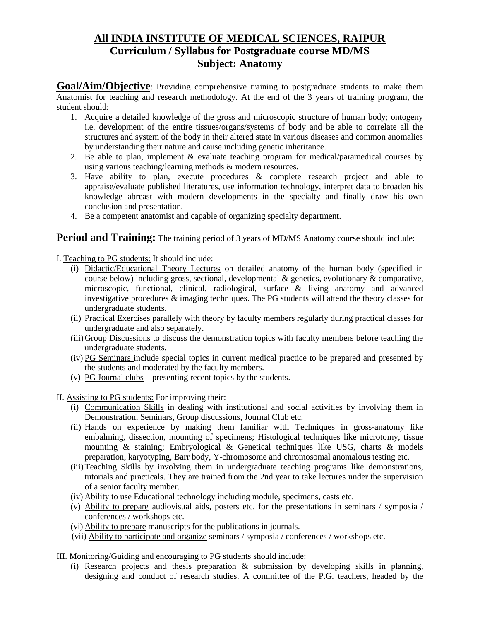# **All INDIA INSTITUTE OF MEDICAL SCIENCES, RAIPUR Curriculum / Syllabus for Postgraduate course MD/MS Subject: Anatomy**

**Goal/Aim/Objective**: Providing comprehensive training to postgraduate students to make them Anatomist for teaching and research methodology. At the end of the 3 years of training program, the student should:

- 1. Acquire a detailed knowledge of the gross and microscopic structure of human body; ontogeny i.e. development of the entire tissues/organs/systems of body and be able to correlate all the structures and system of the body in their altered state in various diseases and common anomalies by understanding their nature and cause including genetic inheritance.
- 2. Be able to plan, implement  $&$  evaluate teaching program for medical/paramedical courses by using various teaching/learning methods & modern resources.
- 3. Have ability to plan, execute procedures & complete research project and able to appraise/evaluate published literatures, use information technology, interpret data to broaden his knowledge abreast with modern developments in the specialty and finally draw his own conclusion and presentation.
- 4. Be a competent anatomist and capable of organizing specialty department.

### **Period and Training:** The training period of 3 years of MD/MS Anatomy course should include:

I. Teaching to PG students: It should include:

- (i) Didactic/Educational Theory Lectures on detailed anatomy of the human body (specified in course below) including gross, sectional, developmental & genetics, evolutionary & comparative, microscopic, functional, clinical, radiological, surface & living anatomy and advanced investigative procedures & imaging techniques. The PG students will attend the theory classes for undergraduate students.
- (ii) Practical Exercises parallely with theory by faculty members regularly during practical classes for undergraduate and also separately.
- (iii)Group Discussions to discuss the demonstration topics with faculty members before teaching the undergraduate students.
- (iv) PG Seminars include special topics in current medical practice to be prepared and presented by the students and moderated by the faculty members.
- (v) PG Journal clubs presenting recent topics by the students.

II. Assisting to PG students: For improving their:

- (i) Communication Skills in dealing with institutional and social activities by involving them in Demonstration, Seminars, Group discussions, Journal Club etc.
- (ii) Hands on experience by making them familiar with Techniques in gross-anatomy like embalming, dissection, mounting of specimens; Histological techniques like microtomy, tissue mounting & staining; Embryological & Genetical techniques like USG, charts & models preparation, karyotyping, Barr body, Y-chromosome and chromosomal anomalous testing etc.
- (iii)Teaching Skills by involving them in undergraduate teaching programs like demonstrations, tutorials and practicals. They are trained from the 2nd year to take lectures under the supervision of a senior faculty member.
- (iv) Ability to use Educational technology including module, specimens, casts etc.
- (v) Ability to prepare audiovisual aids, posters etc. for the presentations in seminars / symposia / conferences / workshops etc.
- (vi) Ability to prepare manuscripts for the publications in journals.
- (vii) Ability to participate and organize seminars / symposia / conferences / workshops etc.
- III. Monitoring/Guiding and encouraging to PG students should include:
	- (i) Research projects and thesis preparation & submission by developing skills in planning, designing and conduct of research studies. A committee of the P.G. teachers, headed by the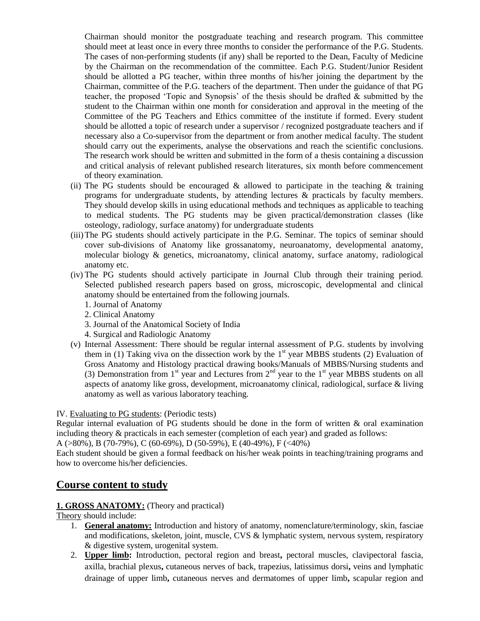Chairman should monitor the postgraduate teaching and research program. This committee should meet at least once in every three months to consider the performance of the P.G. Students. The cases of non-performing students (if any) shall be reported to the Dean, Faculty of Medicine by the Chairman on the recommendation of the committee. Each P.G. Student/Junior Resident should be allotted a PG teacher, within three months of his/her joining the department by the Chairman, committee of the P.G. teachers of the department. Then under the guidance of that PG teacher, the proposed 'Topic and Synopsis' of the thesis should be drafted & submitted by the student to the Chairman within one month for consideration and approval in the meeting of the Committee of the PG Teachers and Ethics committee of the institute if formed. Every student should be allotted a topic of research under a supervisor / recognized postgraduate teachers and if necessary also a Co-supervisor from the department or from another medical faculty. The student should carry out the experiments, analyse the observations and reach the scientific conclusions. The research work should be written and submitted in the form of a thesis containing a discussion and critical analysis of relevant published research literatures, six month before commencement of theory examination.

- (ii) The PG students should be encouraged  $\&$  allowed to participate in the teaching  $\&$  training programs for undergraduate students, by attending lectures & practicals by faculty members. They should develop skills in using educational methods and techniques as applicable to teaching to medical students. The PG students may be given practical/demonstration classes (like osteology, radiology, surface anatomy) for undergraduate students
- (iii)The PG students should actively participate in the P.G. Seminar. The topics of seminar should cover sub-divisions of Anatomy like grossanatomy, neuroanatomy, developmental anatomy, molecular biology & genetics, microanatomy, clinical anatomy, surface anatomy, radiological anatomy etc.
- (iv) The PG students should actively participate in Journal Club through their training period. Selected published research papers based on gross, microscopic, developmental and clinical anatomy should be entertained from the following journals.
	- 1. Journal of Anatomy
	- 2. Clinical Anatomy
	- 3. Journal of the Anatomical Society of India
	- 4. Surgical and Radiologic Anatomy
- (v) Internal Assessment: There should be regular internal assessment of P.G. students by involving them in (1) Taking viva on the dissection work by the  $1<sup>st</sup>$  year MBBS students (2) Evaluation of Gross Anatomy and Histology practical drawing books/Manuals of MBBS/Nursing students and (3) Demonstration from  $1<sup>st</sup>$  year and Lectures from  $2<sup>nd</sup>$  year to the  $1<sup>st</sup>$  year MBBS students on all aspects of anatomy like gross, development, microanatomy clinical, radiological, surface & living anatomy as well as various laboratory teaching.

#### IV. Evaluating to PG students: (Periodic tests)

Regular internal evaluation of PG students should be done in the form of written & oral examination including theory & practicals in each semester (completion of each year) and graded as follows:

A (>80%), B (70-79%), C (60-69%), D (50-59%), E (40-49%), F (<40%)

Each student should be given a formal feedback on his/her weak points in teaching/training programs and how to overcome his/her deficiencies.

## **Course content to study**

#### **1. GROSS ANATOMY:** (Theory and practical)

#### Theory should include:

- 1. **General anatomy:** Introduction and history of anatomy, nomenclature/terminology, skin, fasciae and modifications, skeleton, joint, muscle, CVS & lymphatic system, nervous system, respiratory & digestive system, urogenital system.
- 2. **Upper limb:** Introduction, pectoral region and breast**,** pectoral muscles, clavipectoral fascia, axilla, brachial plexus**,** cutaneous nerves of back, trapezius, latissimus dorsi**,** veins and lymphatic drainage of upper limb**,** cutaneous nerves and dermatomes of upper limb**,** scapular region and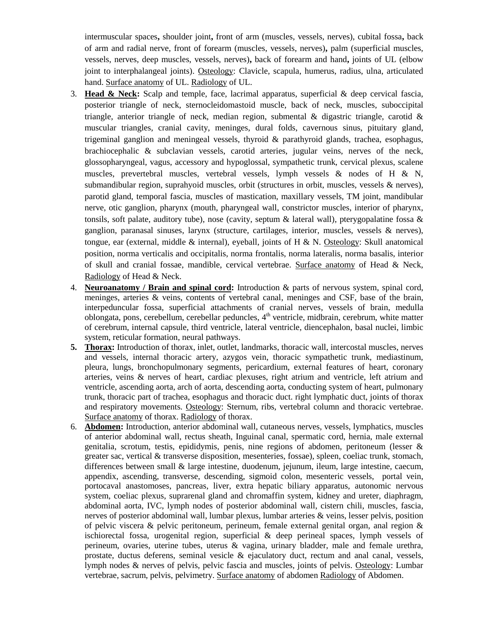intermuscular spaces**,** shoulder joint**,** front of arm (muscles, vessels, nerves), cubital fossa**,** back of arm and radial nerve, front of forearm (muscles, vessels, nerves)**,** palm (superficial muscles, vessels, nerves, deep muscles, vessels, nerves)**,** back of forearm and hand**,** joints of UL (elbow joint to interphalangeal joints). Osteology: Clavicle, scapula, humerus, radius, ulna, articulated hand. Surface anatomy of UL. Radiology of UL.

- 3. **Head & Neck:** Scalp and temple, face, lacrimal apparatus, superficial & deep cervical fascia, posterior triangle of neck, sternocleidomastoid muscle, back of neck, muscles, suboccipital triangle, anterior triangle of neck, median region, submental  $\&$  digastric triangle, carotid  $\&$ muscular triangles, cranial cavity, meninges, dural folds, cavernous sinus, pituitary gland, trigeminal ganglion and meningeal vessels, thyroid & parathyroid glands, trachea, esophagus, brachiocephalic & subclavian vessels, carotid arteries, jugular veins, nerves of the neck, glossopharyngeal, vagus, accessory and hypoglossal, sympathetic trunk, cervical plexus, scalene muscles, prevertebral muscles, vertebral vessels, lymph vessels & nodes of H & N, submandibular region, suprahyoid muscles, orbit (structures in orbit, muscles, vessels & nerves), parotid gland, temporal fascia, muscles of mastication, maxillary vessels, TM joint, mandibular nerve, otic ganglion, pharynx (mouth, pharyngeal wall, constrictor muscles, interior of pharynx, tonsils, soft palate, auditory tube), nose (cavity, septum  $\&$  lateral wall), pterygopalatine fossa  $\&$ ganglion, paranasal sinuses, larynx (structure, cartilages, interior, muscles, vessels & nerves), tongue, ear (external, middle & internal), eyeball, joints of H & N. Osteology: Skull anatomical position, norma verticalis and occipitalis, norma frontalis, norma lateralis, norma basalis, interior of skull and cranial fossae, mandible, cervical vertebrae. Surface anatomy of Head & Neck, Radiology of Head & Neck.
- 4. **Neuroanatomy / Brain and spinal cord:** Introduction & parts of nervous system, spinal cord, meninges, arteries & veins, contents of vertebral canal, meninges and CSF, base of the brain, interpeduncular fossa, superficial attachments of cranial nerves, vessels of brain, medulla oblongata, pons, cerebellum, cerebellar peduncles, 4<sup>th</sup> ventricle, midbrain, cerebrum, white matter of cerebrum, internal capsule, third ventricle, lateral ventricle, diencephalon, basal nuclei, limbic system, reticular formation, neural pathways.
- **5. Thorax:** Introduction of thorax, inlet, outlet, landmarks, thoracic wall, intercostal muscles, nerves and vessels, internal thoracic artery, azygos vein, thoracic sympathetic trunk, mediastinum, pleura, lungs, bronchopulmonary segments, pericardium, external features of heart, coronary arteries, veins & nerves of heart, cardiac plexuses, right atrium and ventricle, left atrium and ventricle, ascending aorta, arch of aorta, descending aorta, conducting system of heart, pulmonary trunk, thoracic part of trachea, esophagus and thoracic duct. right lymphatic duct, joints of thorax and respiratory movements. Osteology: Sternum, ribs, vertebral column and thoracic vertebrae. Surface anatomy of thorax. Radiology of thorax.
- 6. **Abdomen:** Introduction, anterior abdominal wall, cutaneous nerves, vessels, lymphatics, muscles of anterior abdominal wall, rectus sheath, Inguinal canal, spermatic cord, hernia, male external genitalia, scrotum, testis, epididymis, penis, nine regions of abdomen, peritoneum (lesser & greater sac, vertical & transverse disposition, mesenteries, fossae), spleen, coeliac trunk, stomach, differences between small & large intestine, duodenum, jejunum, ileum, large intestine, caecum, appendix, ascending, transverse, descending, sigmoid colon, mesenteric vessels, portal vein, portocaval anastomoses, pancreas, liver, extra hepatic biliary apparatus, autonomic nervous system, coeliac plexus, suprarenal gland and chromaffin system, kidney and ureter, diaphragm, abdominal aorta, IVC, lymph nodes of posterior abdominal wall, cistern chili, muscles, fascia, nerves of posterior abdominal wall, lumbar plexus, lumbar arteries & veins, lesser pelvis, position of pelvic viscera & pelvic peritoneum, perineum, female external genital organ, anal region & ischiorectal fossa, urogenital region, superficial & deep perineal spaces, lymph vessels of perineum, ovaries, uterine tubes, uterus & vagina, urinary bladder, male and female urethra, prostate, ductus deferens, seminal vesicle  $\&$  ejaculatory duct, rectum and anal canal, vessels, lymph nodes & nerves of pelvis, pelvic fascia and muscles, joints of pelvis. Osteology: Lumbar vertebrae, sacrum, pelvis, pelvimetry. Surface anatomy of abdomen Radiology of Abdomen.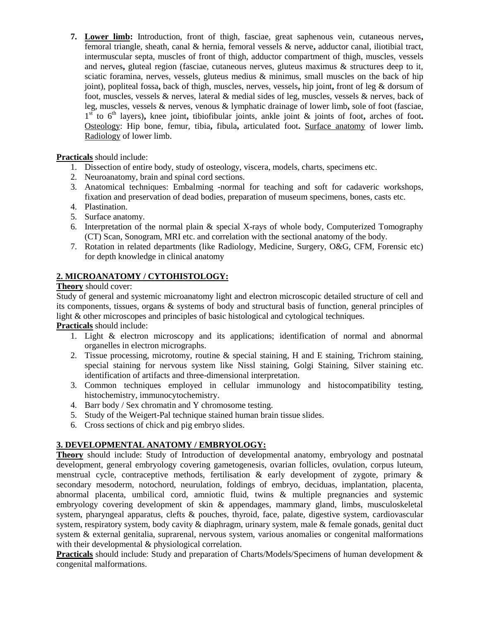**7. Lower limb:** Introduction, front of thigh, fasciae, great saphenous vein, cutaneous nerves**,**  femoral triangle, sheath, canal & hernia, femoral vessels & nerve**,** adductor canal, iliotibial tract, intermuscular septa, muscles of front of thigh, adductor compartment of thigh, muscles, vessels and nerves**,** gluteal region (fasciae, cutaneous nerves, gluteus maximus & structures deep to it, sciatic foramina, nerves, vessels, gluteus medius & minimus, small muscles on the back of hip joint), popliteal fossa**,** back of thigh, muscles, nerves, vessels**,** hip joint**,** front of leg & dorsum of foot, muscles, vessels & nerves, lateral & medial sides of leg, muscles, vessels & nerves, back of leg, muscles, vessels & nerves, venous & lymphatic drainage of lower limb**,** sole of foot (fasciae, 1<sup>st</sup> to 6<sup>th</sup> layers), knee joint, tibiofibular joints, ankle joint & joints of foot, arches of foot. Osteology: Hip bone, femur, tibia**,** fibula**,** articulated foot**.** Surface anatomy of lower limb**.** Radiology of lower limb.

**Practicals** should include:

- 1. Dissection of entire body, study of osteology, viscera, models, charts, specimens etc.
- 2. Neuroanatomy, brain and spinal cord sections.
- 3. Anatomical techniques: Embalming -normal for teaching and soft for cadaveric workshops, fixation and preservation of dead bodies, preparation of museum specimens, bones, casts etc.
- 4. Plastination.
- 5. Surface anatomy.
- 6. Interpretation of the normal plain & special X-rays of whole body, Computerized Tomography (CT) Scan, Sonogram, MRI etc. and correlation with the sectional anatomy of the body.
- 7. Rotation in related departments (like Radiology, Medicine, Surgery, O&G, CFM, Forensic etc) for depth knowledge in clinical anatomy

### **2. MICROANATOMY / CYTOHISTOLOGY:**

**Theory** should cover:

Study of general and systemic microanatomy light and electron microscopic detailed structure of cell and its components, tissues, organs & systems of body and structural basis of function, general principles of light & other microscopes and principles of basic histological and cytological techniques.

**Practicals** should include:

- 1. Light & electron microscopy and its applications; identification of normal and abnormal organelles in electron micrographs.
- 2. Tissue processing, microtomy, routine & special staining, H and E staining, Trichrom staining, special staining for nervous system like Nissl staining, Golgi Staining, Silver staining etc. identification of artifacts and three-dimensional interpretation.
- 3. Common techniques employed in cellular immunology and histocompatibility testing, histochemistry, immunocytochemistry.
- 4. Barr body / Sex chromatin and Y chromosome testing.
- 5. Study of the Weigert-Pal technique stained human brain tissue slides.
- 6. Cross sections of chick and pig embryo slides.

#### **3. DEVELOPMENTAL ANATOMY / EMBRYOLOGY:**

**Theory** should include: Study of Introduction of developmental anatomy, embryology and postnatal development, general embryology covering gametogenesis, ovarian follicles, ovulation, corpus luteum, menstrual cycle, contraceptive methods, fertilisation & early development of zygote, primary & secondary mesoderm, notochord, neurulation, foldings of embryo, deciduas, implantation, placenta, abnormal placenta, umbilical cord, amniotic fluid, twins & multiple pregnancies and systemic embryology covering development of skin & appendages, mammary gland, limbs, musculoskeletal system, pharyngeal apparatus, clefts & pouches, thyroid, face, palate, digestive system, cardiovascular system, respiratory system, body cavity & diaphragm, urinary system, male & female gonads, genital duct system & external genitalia, suprarenal, nervous system, various anomalies or congenital malformations with their developmental & physiological correlation.

**Practicals** should include: Study and preparation of Charts/Models/Specimens of human development & congenital malformations.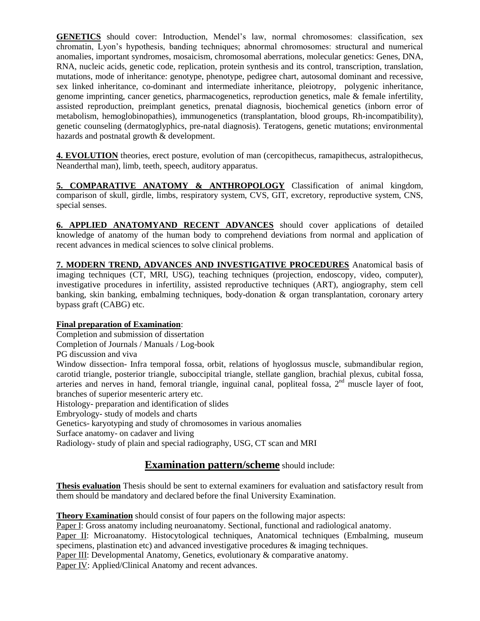**GENETICS** should cover: Introduction, Mendel's law, normal chromosomes: classification, sex chromatin, Lyon's hypothesis, banding techniques; abnormal chromosomes: structural and numerical anomalies, important syndromes, mosaicism, chromosomal aberrations, molecular genetics: Genes, DNA, RNA, nucleic acids, genetic code, replication, protein synthesis and its control, transcription, translation, mutations, mode of inheritance: genotype, phenotype, pedigree chart, autosomal dominant and recessive, sex linked inheritance, co-dominant and intermediate inheritance, pleiotropy, polygenic inheritance, genome imprinting, cancer genetics, pharmacogenetics, reproduction genetics, male & female infertility, assisted reproduction, preimplant genetics, prenatal diagnosis, biochemical genetics (inborn error of metabolism, hemoglobinopathies), immunogenetics (transplantation, blood groups, Rh-incompatibility), genetic counseling (dermatoglyphics, pre-natal diagnosis). Teratogens, genetic mutations; environmental hazards and postnatal growth & development.

**4. EVOLUTION** theories, erect posture, evolution of man (cercopithecus, ramapithecus, astralopithecus, Neanderthal man), limb, teeth, speech, auditory apparatus.

**5. COMPARATIVE ANATOMY & ANTHROPOLOGY** Classification of animal kingdom, comparison of skull, girdle, limbs, respiratory system, CVS, GIT, excretory, reproductive system, CNS, special senses.

**6. APPLIED ANATOMYAND RECENT ADVANCES** should cover applications of detailed knowledge of anatomy of the human body to comprehend deviations from normal and application of recent advances in medical sciences to solve clinical problems.

**7. MODERN TREND, ADVANCES AND INVESTIGATIVE PROCEDURES** Anatomical basis of imaging techniques (CT, MRI, USG), teaching techniques (projection, endoscopy, video, computer), investigative procedures in infertility, assisted reproductive techniques (ART), angiography, stem cell banking, skin banking, embalming techniques, body-donation & organ transplantation, coronary artery bypass graft (CABG) etc.

#### **Final preparation of Examination**:

Completion and submission of dissertation

Completion of Journals / Manuals / Log-book

PG discussion and viva

Window dissection- Infra temporal fossa, orbit, relations of hyoglossus muscle, submandibular region, carotid triangle, posterior triangle, suboccipital triangle, stellate ganglion, brachial plexus, cubital fossa, arteries and nerves in hand, femoral triangle, inguinal canal, popliteal fossa,  $2<sup>nd</sup>$  muscle layer of foot, branches of superior mesenteric artery etc.

Histology- preparation and identification of slides

Embryology- study of models and charts

Genetics- karyotyping and study of chromosomes in various anomalies

Surface anatomy- on cadaver and living

Radiology- study of plain and special radiography, USG, CT scan and MRI

## **Examination pattern/scheme** should include:

**Thesis evaluation** Thesis should be sent to external examiners for evaluation and satisfactory result from them should be mandatory and declared before the final University Examination.

**Theory Examination** should consist of four papers on the following major aspects:

Paper I: Gross anatomy including neuroanatomy. Sectional, functional and radiological anatomy.

Paper II: Microanatomy. Histocytological techniques, Anatomical techniques (Embalming, museum specimens, plastination etc) and advanced investigative procedures  $\&$  imaging techniques.

Paper III: Developmental Anatomy, Genetics, evolutionary & comparative anatomy.

Paper IV: Applied/Clinical Anatomy and recent advances.